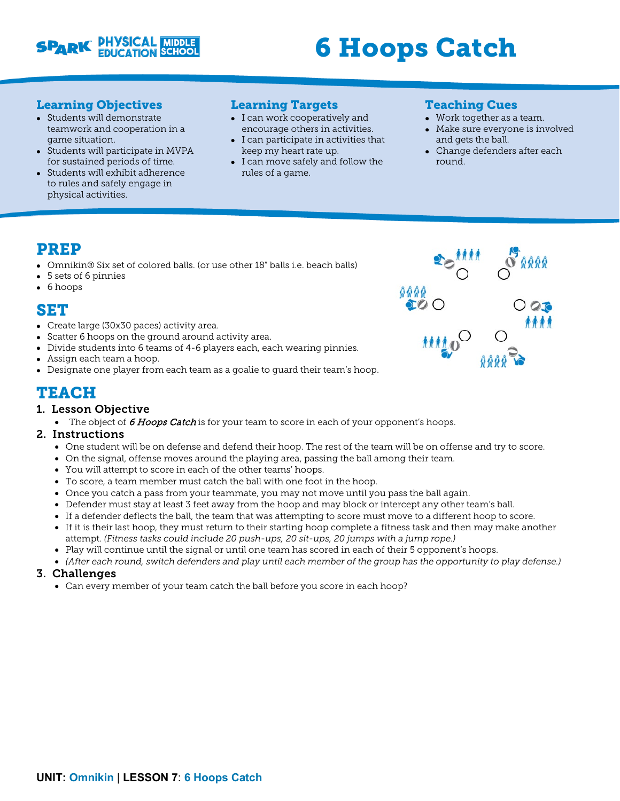

# 6 Hoops Catch

## Learning Objectives

- Students will demonstrate teamwork and cooperation in a game situation.
- Students will participate in MVPA for sustained periods of time.
- Students will exhibit adherence to rules and safely engage in physical activities.

## Learning Targets

- I can work cooperatively and encourage others in activities.
- I can participate in activities that keep my heart rate up.
- I can move safely and follow the rules of a game.

### Teaching Cues

- Work together as a team.
- Make sure everyone is involved and gets the ball.
- Change defenders after each round.

## PREP

- Omnikin® Six set of colored balls. (or use other 18" balls i.e. beach balls)
- 5 sets of 6 pinnies
- 6 hoops

## SET

- Create large (30x30 paces) activity area.
- Scatter 6 hoops on the ground around activity area.
- Divide students into 6 teams of 4-6 players each, each wearing pinnies.
- Assign each team a hoop.
- Designate one player from each team as a goalie to guard their team's hoop.

# TEACH

## 1. Lesson Objective

• The object of  $6$  Hoops Catch is for your team to score in each of your opponent's hoops.

#### 2. Instructions

- One student will be on defense and defend their hoop. The rest of the team will be on offense and try to score.
- On the signal, offense moves around the playing area, passing the ball among their team.
- You will attempt to score in each of the other teams' hoops.
- To score, a team member must catch the ball with one foot in the hoop.
- Once you catch a pass from your teammate, you may not move until you pass the ball again.
- Defender must stay at least 3 feet away from the hoop and may block or intercept any other team's ball.
- If a defender deflects the ball, the team that was attempting to score must move to a different hoop to score.
- If it is their last hoop, they must return to their starting hoop complete a fitness task and then may make another attempt. *(Fitness tasks could include 20 push-ups, 20 sit-ups, 20 jumps with a jump rope.)*
- Play will continue until the signal or until one team has scored in each of their 5 opponent's hoops.
- *(After each round, switch defenders and play until each member of the group has the opportunity to play defense.)*

#### 3. Challenges

• Can every member of your team catch the ball before you score in each hoop?